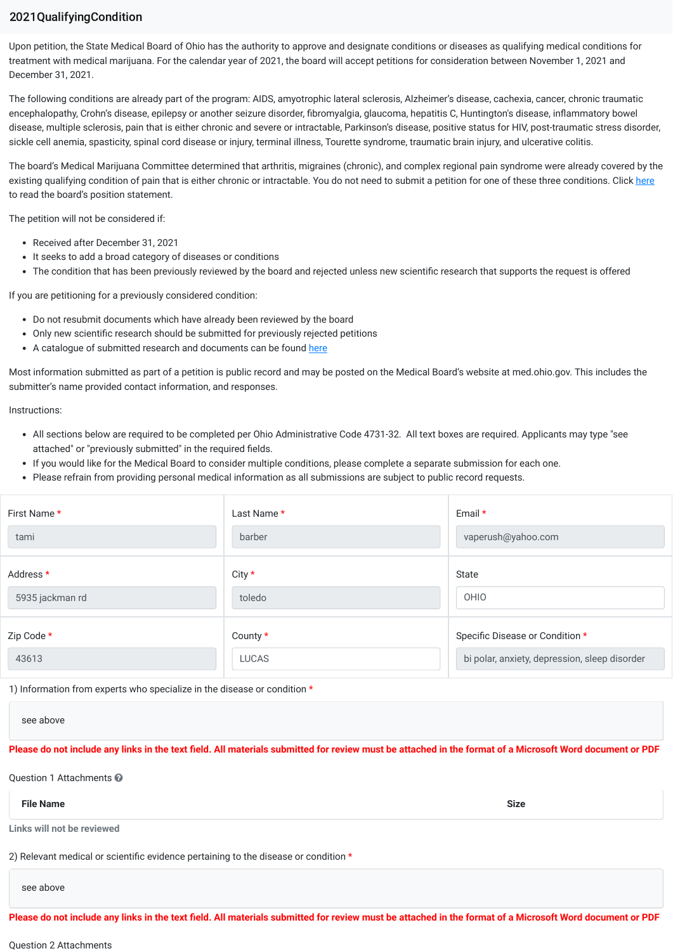## 2021QualifyingCondition

Upon petition, the State Medical Board of Ohio has the authority to approve and designate conditions or diseases as qualifying medical conditions for treatment with medical marijuana. For the calendar year of 2021, the board will accept petitions for consideration between November 1, 2021 and December 31, 2021.

The following conditions are already part of the program: AIDS, amyotrophic lateral sclerosis, Alzheimer's disease, cachexia, cancer, chronic traumatic encephalopathy, Crohn's disease, epilepsy or another seizure disorder, fibromyalgia, glaucoma, hepatitis C, Huntington's disease, inflammatory bowel disease, multiple sclerosis, pain that is either chronic and severe or intractable, Parkinson's disease, positive status for HIV, post-traumatic stress disorder, sickle cell anemia, spasticity, spinal cord disease or injury, terminal illness, Tourette syndrome, traumatic brain injury, and ulcerative colitis.

The board's Medical Marijuana Committee determined that arthritis, migraines (chronic), and complex regional pain syndrome were already covered by the existing qualifying condition of pain that is either chronic or intractable. You do not need to submit a petition for one of these three conditions. Click here to read the board's position statement.

The petition will not be considered if:

- Received after December 31, 2021
- It seeks to add a broad category of diseases or conditions
- The condition that has been previously reviewed by the board and rejected unless new scientific research that supports the request is offered

If you are petitioning for a previously considered condition:

- Do not resubmit documents which have already been reviewed by the board
- Only new scientific research should be submitted for previously rejected petitions
- A catalogue of submitted research and documents can be found here

Most information submitted as part of a petition is public record and may be posted on the Medical Board's website at med.ohio.gov. This includes the submitter's name provided contact information, and responses.

Instructions:

- All sections below are required to be completed per Ohio Administrative Code 4731-32. All text boxes are required. Applicants may type "see attached" or "previously submitted" in the required fields.
- If you would like for the Medical Board to consider multiple conditions, please complete a separate submission for each one.
- Please refrain from providing personal medical information as all submissions are subject to public record requests.

| First Name *    | Last Name *  | Email $*$                                     |
|-----------------|--------------|-----------------------------------------------|
| tami            | barber       | vaperush@yahoo.com                            |
| Address *       | City $\star$ | State                                         |
| 5935 jackman rd | toledo       | OHIO                                          |
| Zip Code *      | County $*$   | Specific Disease or Condition *               |
| 43613           | <b>LUCAS</b> | bi polar, anxiety, depression, sleep disorder |

1) Information from experts who specialize in the disease or condition \*

see above

## **Please do not include any links in the text field. All materials submitted for review must be attached in the format of a Microsoft Word document or PDF**

Question 1 Attachments

**File Name Size**

**Links will not be reviewed**

2) Relevant medical or scientific evidence pertaining to the disease or condition \*

see above

**Please do not include any links in the text field. All materials submitted for review must be attached in the format of a Microsoft Word document or PDF**